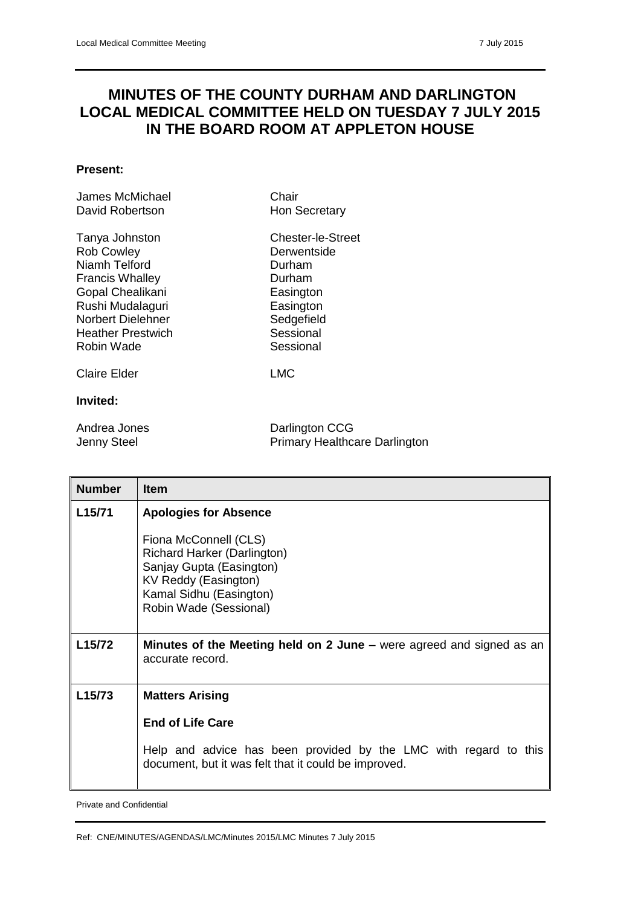## **MINUTES OF THE COUNTY DURHAM AND DARLINGTON LOCAL MEDICAL COMMITTEE HELD ON TUESDAY 7 JULY 2015 IN THE BOARD ROOM AT APPLETON HOUSE**

## **Present:**

| James McMichael<br>David Robertson                                                                                                                                                           | Chair<br>Hon Secretary                                                                                                 |
|----------------------------------------------------------------------------------------------------------------------------------------------------------------------------------------------|------------------------------------------------------------------------------------------------------------------------|
| Tanya Johnston<br><b>Rob Cowley</b><br>Niamh Telford<br><b>Francis Whalley</b><br>Gopal Chealikani<br>Rushi Mudalaguri<br><b>Norbert Dielehner</b><br><b>Heather Prestwich</b><br>Robin Wade | Chester-le-Street<br>Derwentside<br>Durham<br>Durham<br>Easington<br>Easington<br>Sedgefield<br>Sessional<br>Sessional |
| Claire Elder                                                                                                                                                                                 | LMC                                                                                                                    |
| Invited:                                                                                                                                                                                     |                                                                                                                        |
| Andrea Jones                                                                                                                                                                                 | Darlington CCG                                                                                                         |

| Andrea Jones | Darlington CCG                       |
|--------------|--------------------------------------|
| Jenny Steel  | <b>Primary Healthcare Darlington</b> |

| <b>Number</b>       | <b>Item</b>                                                                                                              |
|---------------------|--------------------------------------------------------------------------------------------------------------------------|
| L15/71              | <b>Apologies for Absence</b><br>Fiona McConnell (CLS)<br><b>Richard Harker (Darlington)</b>                              |
|                     | Sanjay Gupta (Easington)<br>KV Reddy (Easington)<br>Kamal Sidhu (Easington)<br>Robin Wade (Sessional)                    |
| L <sub>15</sub> /72 | Minutes of the Meeting held on 2 June – were agreed and signed as an<br>accurate record.                                 |
| L <sub>15</sub> /73 | <b>Matters Arising</b>                                                                                                   |
|                     | <b>End of Life Care</b>                                                                                                  |
|                     | Help and advice has been provided by the LMC with regard to this<br>document, but it was felt that it could be improved. |

Private and Confidential

Ref: CNE/MINUTES/AGENDAS/LMC/Minutes 2015/LMC Minutes 7 July 2015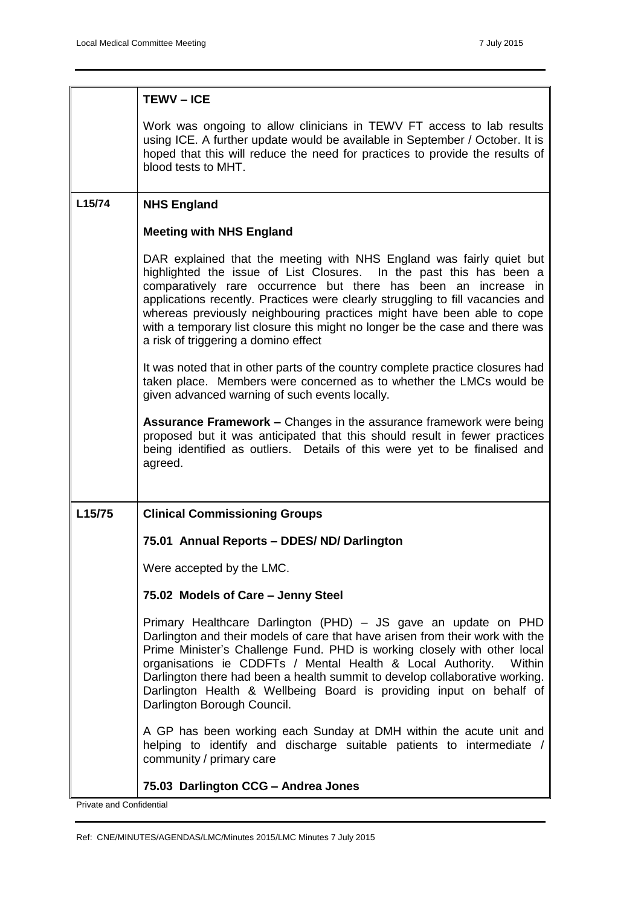|        | <b>TEWV-ICE</b>                                                                                                                                                                                                                                                                                                                                                                                                                                                                                    |
|--------|----------------------------------------------------------------------------------------------------------------------------------------------------------------------------------------------------------------------------------------------------------------------------------------------------------------------------------------------------------------------------------------------------------------------------------------------------------------------------------------------------|
|        | Work was ongoing to allow clinicians in TEWV FT access to lab results<br>using ICE. A further update would be available in September / October. It is<br>hoped that this will reduce the need for practices to provide the results of<br>blood tests to MHT.                                                                                                                                                                                                                                       |
| L15/74 | <b>NHS England</b>                                                                                                                                                                                                                                                                                                                                                                                                                                                                                 |
|        | <b>Meeting with NHS England</b>                                                                                                                                                                                                                                                                                                                                                                                                                                                                    |
|        | DAR explained that the meeting with NHS England was fairly quiet but<br>highlighted the issue of List Closures. In the past this has been a<br>comparatively rare occurrence but there has been an increase in<br>applications recently. Practices were clearly struggling to fill vacancies and<br>whereas previously neighbouring practices might have been able to cope<br>with a temporary list closure this might no longer be the case and there was<br>a risk of triggering a domino effect |
|        | It was noted that in other parts of the country complete practice closures had<br>taken place. Members were concerned as to whether the LMCs would be<br>given advanced warning of such events locally.                                                                                                                                                                                                                                                                                            |
|        | <b>Assurance Framework – Changes in the assurance framework were being</b><br>proposed but it was anticipated that this should result in fewer practices<br>being identified as outliers. Details of this were yet to be finalised and<br>agreed.                                                                                                                                                                                                                                                  |
| L15/75 | <b>Clinical Commissioning Groups</b>                                                                                                                                                                                                                                                                                                                                                                                                                                                               |
|        | 75.01 Annual Reports - DDES/ ND/ Darlington                                                                                                                                                                                                                                                                                                                                                                                                                                                        |
|        | Were accepted by the LMC.                                                                                                                                                                                                                                                                                                                                                                                                                                                                          |
|        | 75.02 Models of Care - Jenny Steel                                                                                                                                                                                                                                                                                                                                                                                                                                                                 |
|        | Primary Healthcare Darlington (PHD) - JS gave an update on PHD<br>Darlington and their models of care that have arisen from their work with the<br>Prime Minister's Challenge Fund. PHD is working closely with other local<br>organisations ie CDDFTs / Mental Health & Local Authority.<br>Within<br>Darlington there had been a health summit to develop collaborative working.<br>Darlington Health & Wellbeing Board is providing input on behalf of<br>Darlington Borough Council.           |
|        | A GP has been working each Sunday at DMH within the acute unit and<br>helping to identify and discharge suitable patients to intermediate /<br>community / primary care                                                                                                                                                                                                                                                                                                                            |
|        | 75.03 Darlington CCG - Andrea Jones                                                                                                                                                                                                                                                                                                                                                                                                                                                                |

Private and Confidential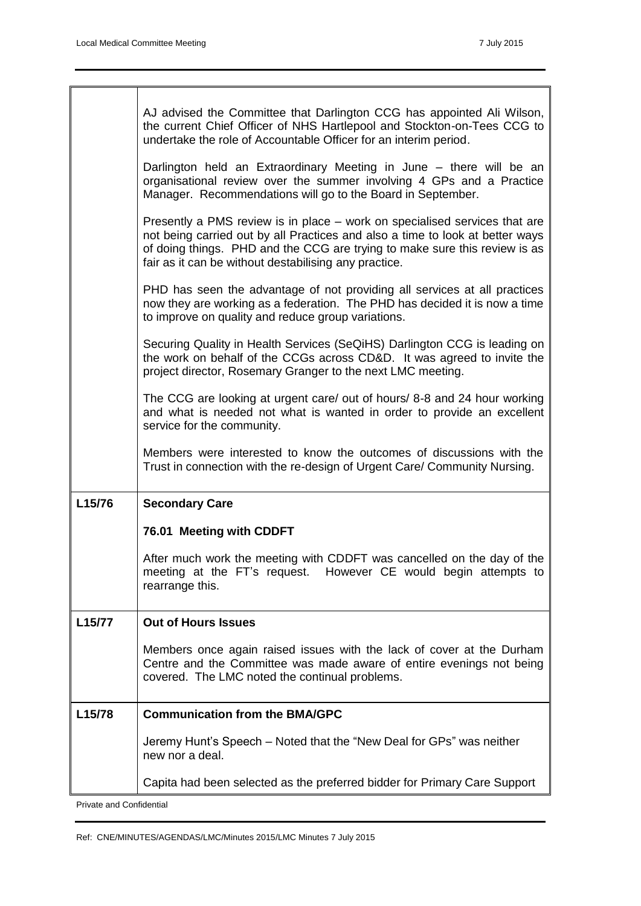|        | AJ advised the Committee that Darlington CCG has appointed Ali Wilson,<br>the current Chief Officer of NHS Hartlepool and Stockton-on-Tees CCG to<br>undertake the role of Accountable Officer for an interim period.                                                                              |
|--------|----------------------------------------------------------------------------------------------------------------------------------------------------------------------------------------------------------------------------------------------------------------------------------------------------|
|        | Darlington held an Extraordinary Meeting in June - there will be an<br>organisational review over the summer involving 4 GPs and a Practice<br>Manager. Recommendations will go to the Board in September.                                                                                         |
|        | Presently a PMS review is in place – work on specialised services that are<br>not being carried out by all Practices and also a time to look at better ways<br>of doing things. PHD and the CCG are trying to make sure this review is as<br>fair as it can be without destabilising any practice. |
|        | PHD has seen the advantage of not providing all services at all practices<br>now they are working as a federation. The PHD has decided it is now a time<br>to improve on quality and reduce group variations.                                                                                      |
|        | Securing Quality in Health Services (SeQiHS) Darlington CCG is leading on<br>the work on behalf of the CCGs across CD&D. It was agreed to invite the<br>project director, Rosemary Granger to the next LMC meeting.                                                                                |
|        | The CCG are looking at urgent care/ out of hours/ 8-8 and 24 hour working<br>and what is needed not what is wanted in order to provide an excellent<br>service for the community.                                                                                                                  |
|        | Members were interested to know the outcomes of discussions with the<br>Trust in connection with the re-design of Urgent Care/ Community Nursing.                                                                                                                                                  |
| L15/76 | <b>Secondary Care</b>                                                                                                                                                                                                                                                                              |
|        | 76.01 Meeting with CDDFT                                                                                                                                                                                                                                                                           |
|        | After much work the meeting with CDDFT was cancelled on the day of the<br>meeting at the FT's request. However CE would begin attempts to<br>rearrange this.                                                                                                                                       |
| L15/77 | <b>Out of Hours Issues</b>                                                                                                                                                                                                                                                                         |
|        | Members once again raised issues with the lack of cover at the Durham<br>Centre and the Committee was made aware of entire evenings not being<br>covered. The LMC noted the continual problems.                                                                                                    |
| L15/78 | <b>Communication from the BMA/GPC</b>                                                                                                                                                                                                                                                              |
|        | Jeremy Hunt's Speech – Noted that the "New Deal for GPs" was neither<br>new nor a deal.                                                                                                                                                                                                            |
|        | Capita had been selected as the preferred bidder for Primary Care Support                                                                                                                                                                                                                          |
|        |                                                                                                                                                                                                                                                                                                    |

Private and Confidential